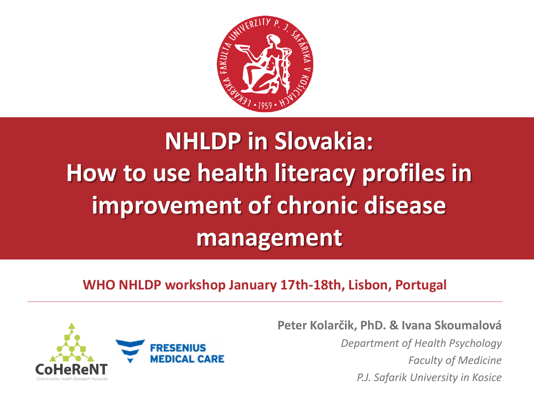

# **NHLDP in Slovakia: How to use health literacy profiles in improvement of chronic disease management**

#### **WHO NHLDP workshop January 17th-18th, Lisbon, Portugal**



**Peter Kolarčik, PhD. & Ivana Skoumalová**

*Department of Health Psychology Faculty of Medicine P.J. Safarik University in Kosice*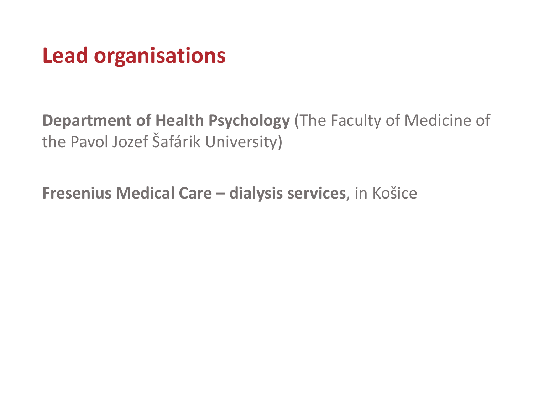### **Lead organisations**

**Department of Health Psychology** (The Faculty of Medicine of the Pavol Jozef Šafárik University)

**Fresenius Medical Care – dialysis services**, in Košice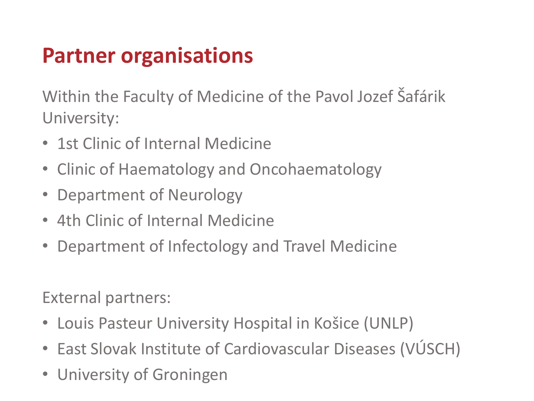### **Partner organisations**

Within the Faculty of Medicine of the Pavol Jozef Šafárik University:

- 1st Clinic of Internal Medicine
- Clinic of Haematology and Oncohaematology
- Department of Neurology
- 4th Clinic of Internal Medicine
- Department of Infectology and Travel Medicine

External partners:

- Louis Pasteur University Hospital in Košice (UNLP)
- East Slovak Institute of Cardiovascular Diseases (VÚSCH)
- University of Groningen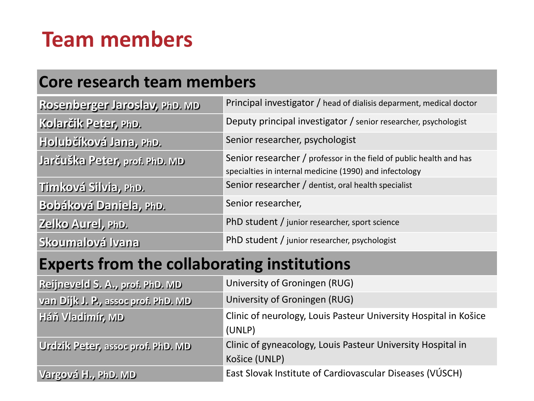### **Team members**

#### **Core research team members**

| Rosenberger Jaroslav, PhD. MD | Principal investigator / head of dialisis deparment, medical doctor                                                            |
|-------------------------------|--------------------------------------------------------------------------------------------------------------------------------|
| Kolarčik Peter, PhD.          | Deputy principal investigator / senior researcher, psychologist                                                                |
| Holubčíková Jana, PhD.        | Senior researcher, psychologist                                                                                                |
| Jarčuška Peter, prof. PhD. MD | Senior researcher / professor in the field of public health and has<br>specialties in internal medicine (1990) and infectology |
| Timková Silvia, PhD.          | Senior researcher / dentist, oral health specialist                                                                            |
| Bobáková Daniela, PhD.        | Senior researcher,                                                                                                             |
| Zelko Aurel, PhD.             | PhD student / junior researcher, sport science                                                                                 |
| Skoumalová Ivana              | PhD student / junior researcher, psychologist                                                                                  |

#### **Experts from the collaborating institutions**

| Reijneveld S. A., prof. PhD. MD     | University of Groningen (RUG)                                    |
|-------------------------------------|------------------------------------------------------------------|
| van Dijk J. P., assoc prof. PhD. MD | University of Groningen (RUG)                                    |
| Háň Vladimír, MD                    | Clinic of neurology, Louis Pasteur University Hospital in Košice |
|                                     | (UNLP)                                                           |
| Urdzik Peter, assoc prof. PhD. MD   | Clinic of gyneacology, Louis Pasteur University Hospital in      |
|                                     | Košice (UNLP)                                                    |
| Vargová H., PhD. MD                 | East Slovak Institute of Cardiovascular Diseases (VÚSCH)         |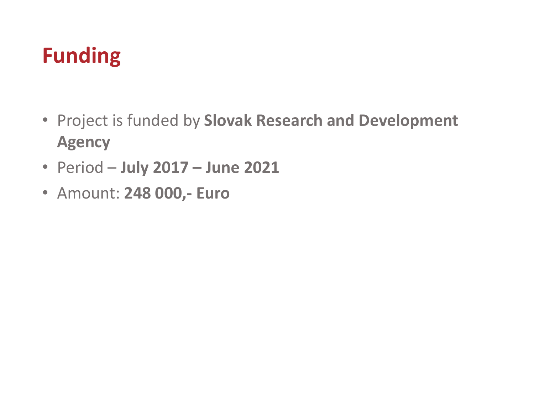# **Funding**

- Project is funded by **Slovak Research and Development Agency**
- Period **July 2017 – June 2021**
- Amount: **248 000,- Euro**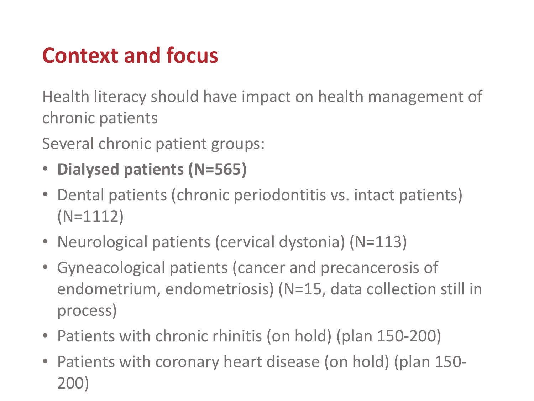# **Context and focus**

Health literacy should have impact on health management of chronic patients

Several chronic patient groups:

- **Dialysed patients (N=565)**
- Dental patients (chronic periodontitis vs. intact patients) (N=1112)
- Neurological patients (cervical dystonia) (N=113)
- Gyneacological patients (cancer and precancerosis of endometrium, endometriosis) (N=15, data collection still in process)
- Patients with chronic rhinitis (on hold) (plan 150-200)
- Patients with coronary heart disease (on hold) (plan 150- 200)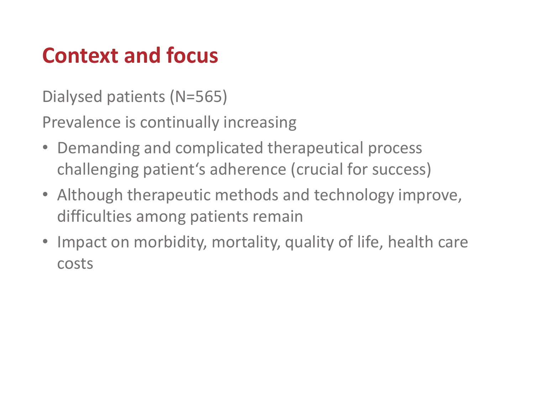# **Context and focus**

Dialysed patients (N=565)

Prevalence is continually increasing

- Demanding and complicated therapeutical process challenging patient's adherence (crucial for success)
- Although therapeutic methods and technology improve, difficulties among patients remain
- Impact on morbidity, mortality, quality of life, health care costs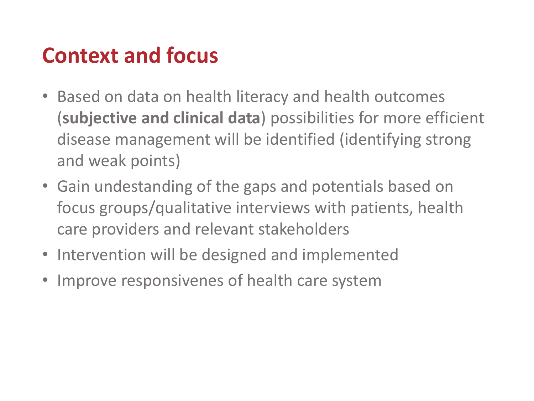### **Context and focus**

- Based on data on health literacy and health outcomes (**subjective and clinical data**) possibilities for more efficient disease management will be identified (identifying strong and weak points)
- Gain undestanding of the gaps and potentials based on focus groups/qualitative interviews with patients, health care providers and relevant stakeholders
- Intervention will be designed and implemented
- Improve responsivenes of health care system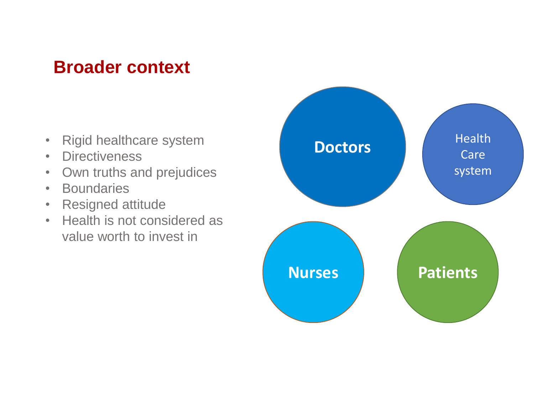#### **Broader context**

- Rigid healthcare system
- Directiveness
- Own truths and prejudices
- Boundaries
- Resigned attitude
- Health is not considered as value worth to invest in

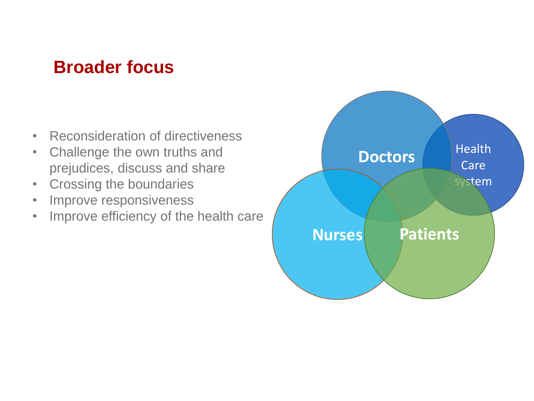#### **Broader focus**

- Reconsideration of directiveness
- Challenge the own truths and prejudices, discuss and share
- Crossing the boundaries
- Improve responsiveness
- Improve efficiency of the health care

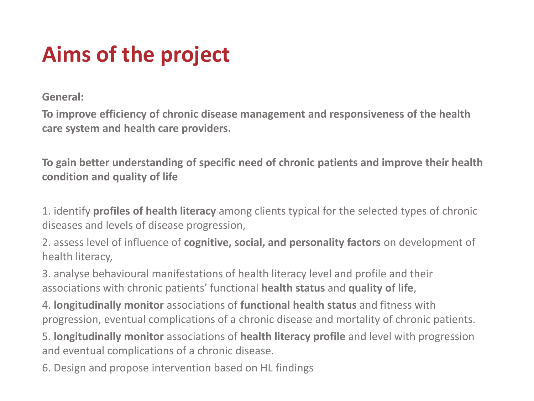# **Aims of the project**

**General:**

**To improve efficiency of chronic disease management and responsiveness of the health care system and health care providers.**

**To gain better understanding of specific need of chronic patients and improve their health condition and quality of life**

1. identify **profiles of health literacy** among clients typical for the selected types of chronic diseases and levels of disease progression,

2. assess level of influence of **cognitive, social, and personality factors** on development of health literacy,

3. analyse behavioural manifestations of health literacy level and profile and their associations with chronic patients' functional **health status** and **quality of life**,

4. **longitudinally monitor** associations of **functional health status** and fitness with progression, eventual complications of a chronic disease and mortality of chronic patients.

5. **longitudinally monitor** associations of **health literacy profile** and level with progression and eventual complications of a chronic disease.

6. Design and propose intervention based on HL findings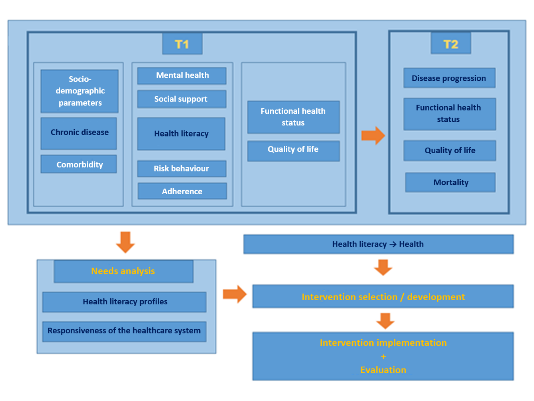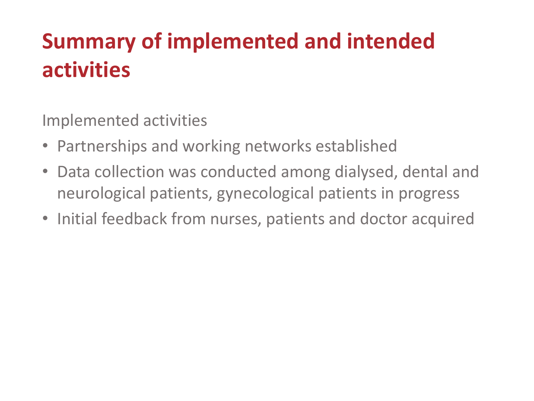# **Summary of implemented and intended activities**

Implemented activities

- Partnerships and working networks established
- Data collection was conducted among dialysed, dental and neurological patients, gynecological patients in progress
- Initial feedback from nurses, patients and doctor acquired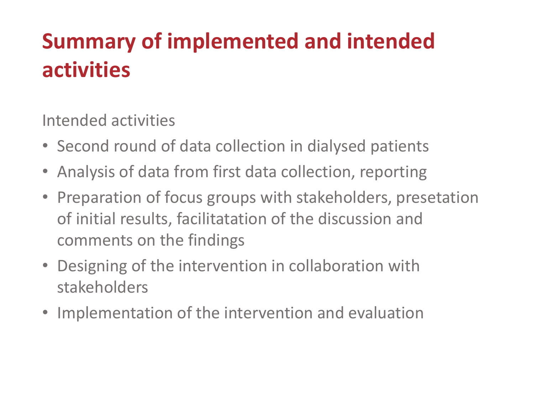# **Summary of implemented and intended activities**

Intended activities

- Second round of data collection in dialysed patients
- Analysis of data from first data collection, reporting
- Preparation of focus groups with stakeholders, presetation of initial results, facilitatation of the discussion and comments on the findings
- Designing of the intervention in collaboration with stakeholders
- Implementation of the intervention and evaluation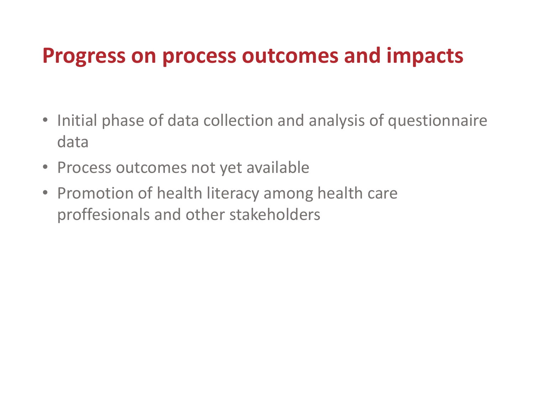#### **Progress on process outcomes and impacts**

- Initial phase of data collection and analysis of questionnaire data
- Process outcomes not yet available
- Promotion of health literacy among health care proffesionals and other stakeholders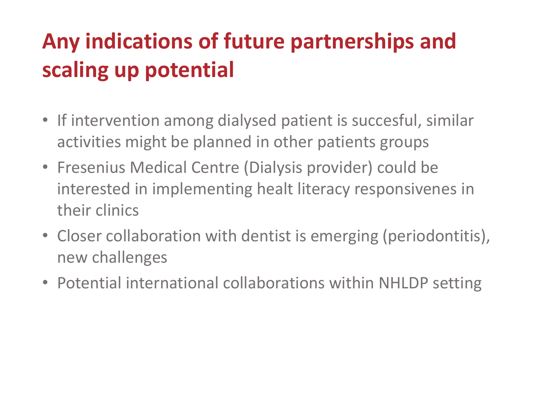# **Any indications of future partnerships and scaling up potential**

- If intervention among dialysed patient is succesful, similar activities might be planned in other patients groups
- Fresenius Medical Centre (Dialysis provider) could be interested in implementing healt literacy responsivenes in their clinics
- Closer collaboration with dentist is emerging (periodontitis), new challenges
- Potential international collaborations within NHLDP setting